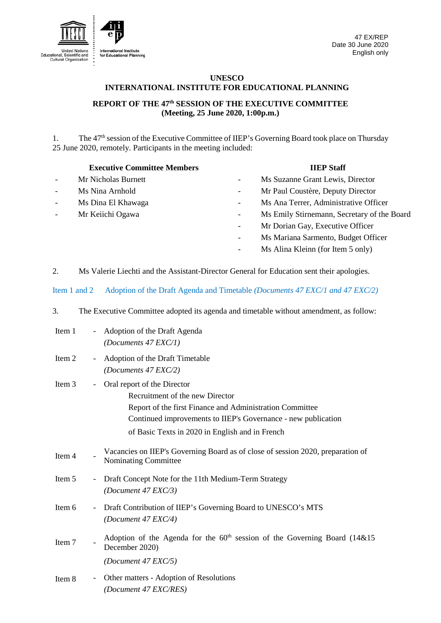

#### **UNESCO**

# **INTERNATIONAL INSTITUTE FOR EDUCATIONAL PLANNING**

## **REPORT OF THE 47th SESSION OF THE EXECUTIVE COMMITTEE (Meeting, 25 June 2020, 1:00p.m.)**

1. The 47th session of the Executive Committee of IIEP's Governing Board took place on Thursday 25 June 2020, remotely. Participants in the meeting included:

### **Executive Committee Members IIEP Staff**

- 
- 
- 
- 
- Mr Nicholas Burnett Ms Suzanne Grant Lewis, Director
	- Ms Nina Arnhold **Mr Paul Coustère, Deputy Director**
	- Ms Dina El Khawaga  **Ms Ana Terrer, Administrative Officer**
	- Mr Keiichi Ogawa Ms Emily Stirnemann, Secretary of the Board
		- Mr Dorian Gay, Executive Officer
		- Ms Mariana Sarmento, Budget Officer
		- Ms Alina Kleinn (for Item 5 only)

2. Ms Valerie Liechti and the Assistant-Director General for Education sent their apologies.

Item 1 and 2 Adoption of the Draft Agenda and Timetable *(Documents 47 EXC/1 and 47 EXC/2)*

3. The Executive Committee adopted its agenda and timetable without amendment, as follow:

| Item 1 | $\sim$                   | Adoption of the Draft Agenda<br>(Documents $47$ EXC/1)                                                                                                                                                                                         |
|--------|--------------------------|------------------------------------------------------------------------------------------------------------------------------------------------------------------------------------------------------------------------------------------------|
| Item 2 | $\sim$                   | Adoption of the Draft Timetable<br>(Documents $47$ EXC/2)                                                                                                                                                                                      |
| Item 3 | $\sim$ $-$               | Oral report of the Director<br>Recruitment of the new Director<br>Report of the first Finance and Administration Committee<br>Continued improvements to IIEP's Governance - new publication<br>of Basic Texts in 2020 in English and in French |
| Item 4 |                          | Vacancies on IIEP's Governing Board as of close of session 2020, preparation of<br>Nominating Committee                                                                                                                                        |
| Item 5 |                          | Draft Concept Note for the 11th Medium-Term Strategy<br>(Document 47 $EXC/3$ )                                                                                                                                                                 |
| Item 6 |                          | Draft Contribution of IIEP's Governing Board to UNESCO's MTS<br>(Document 47 EXC/4)                                                                                                                                                            |
| Item 7 |                          | Adoption of the Agenda for the $60th$ session of the Governing Board (14&15)<br>December 2020)                                                                                                                                                 |
| Item 8 | $\overline{\phantom{a}}$ | (Document 47 $EXC/5$ )<br>Other matters - Adoption of Resolutions<br>(Document 47 EXC/RES)                                                                                                                                                     |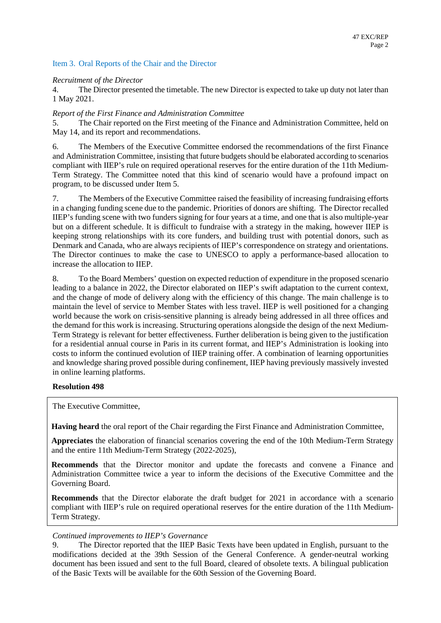#### Item 3. Oral Reports of the Chair and the Director

#### *Recruitment of the Director*

4. The Director presented the timetable. The new Director is expected to take up duty not later than 1 May 2021.

### *Report of the First Finance and Administration Committee*

5. The Chair reported on the First meeting of the Finance and Administration Committee, held on May 14, and its report and recommendations.

6. The Members of the Executive Committee endorsed the recommendations of the first Finance and Administration Committee, insisting that future budgets should be elaborated according to scenarios compliant with IIEP's rule on required operational reserves for the entire duration of the 11th Medium-Term Strategy. The Committee noted that this kind of scenario would have a profound impact on program, to be discussed under Item 5.

7. The Members of the Executive Committee raised the feasibility of increasing fundraising efforts in a changing funding scene due to the pandemic. Priorities of donors are shifting. The Director recalled IIEP's funding scene with two funders signing for four years at a time, and one that is also multiple-year but on a different schedule. It is difficult to fundraise with a strategy in the making, however IIEP is keeping strong relationships with its core funders, and building trust with potential donors, such as Denmark and Canada, who are always recipients of IIEP's correspondence on strategy and orientations. The Director continues to make the case to UNESCO to apply a performance-based allocation to increase the allocation to IIEP.

8. To the Board Members' question on expected reduction of expenditure in the proposed scenario leading to a balance in 2022, the Director elaborated on IIEP's swift adaptation to the current context, and the change of mode of delivery along with the efficiency of this change. The main challenge is to maintain the level of service to Member States with less travel. IIEP is well positioned for a changing world because the work on crisis-sensitive planning is already being addressed in all three offices and the demand for this work is increasing. Structuring operations alongside the design of the next Medium-Term Strategy is relevant for better effectiveness. Further deliberation is being given to the justification for a residential annual course in Paris in its current format, and IIEP's Administration is looking into costs to inform the continued evolution of IIEP training offer. A combination of learning opportunities and knowledge sharing proved possible during confinement, IIEP having previously massively invested in online learning platforms.

#### **Resolution 498**

The Executive Committee,

**Having heard** the oral report of the Chair regarding the First Finance and Administration Committee,

**Appreciates** the elaboration of financial scenarios covering the end of the 10th Medium-Term Strategy and the entire 11th Medium-Term Strategy (2022-2025),

**Recommends** that the Director monitor and update the forecasts and convene a Finance and Administration Committee twice a year to inform the decisions of the Executive Committee and the Governing Board.

**Recommends** that the Director elaborate the draft budget for 2021 in accordance with a scenario compliant with IIEP's rule on required operational reserves for the entire duration of the 11th Medium-Term Strategy.

#### *Continued improvements to IIEP's Governance*

9. The Director reported that the IIEP Basic Texts have been updated in English, pursuant to the modifications decided at the 39th Session of the General Conference. A gender-neutral working document has been issued and sent to the full Board, cleared of obsolete texts. A bilingual publication of the Basic Texts will be available for the 60th Session of the Governing Board.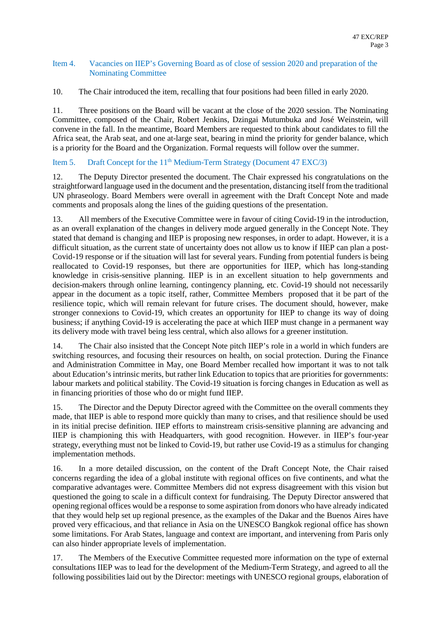### Item 4. Vacancies on IIEP's Governing Board as of close of session 2020 and preparation of the Nominating Committee

10. The Chair introduced the item, recalling that four positions had been filled in early 2020.

11. Three positions on the Board will be vacant at the close of the 2020 session. The Nominating Committee, composed of the Chair, Robert Jenkins, Dzingai Mutumbuka and José Weinstein, will convene in the fall. In the meantime, Board Members are requested to think about candidates to fill the Africa seat, the Arab seat, and one at-large seat, bearing in mind the priority for gender balance, which is a priority for the Board and the Organization. Formal requests will follow over the summer.

## Item 5. Draft Concept for the  $11^{th}$  Medium-Term Strategy (Document 47 EXC/3)

12. The Deputy Director presented the document. The Chair expressed his congratulations on the straightforward language used in the document and the presentation, distancing itself from the traditional UN phraseology. Board Members were overall in agreement with the Draft Concept Note and made comments and proposals along the lines of the guiding questions of the presentation.

13. All members of the Executive Committee were in favour of citing Covid-19 in the introduction, as an overall explanation of the changes in delivery mode argued generally in the Concept Note. They stated that demand is changing and IIEP is proposing new responses, in order to adapt. However, it is a difficult situation, as the current state of uncertainty does not allow us to know if IIEP can plan a post-Covid-19 response or if the situation will last for several years. Funding from potential funders is being reallocated to Covid-19 responses, but there are opportunities for IIEP, which has long-standing knowledge in crisis-sensitive planning. IIEP is in an excellent situation to help governments and decision-makers through online learning, contingency planning, etc. Covid-19 should not necessarily appear in the document as a topic itself, rather, Committee Members proposed that it be part of the resilience topic, which will remain relevant for future crises. The document should, however, make stronger connexions to Covid-19, which creates an opportunity for IIEP to change its way of doing business; if anything Covid-19 is accelerating the pace at which IIEP must change in a permanent way its delivery mode with travel being less central, which also allows for a greener institution.

14. The Chair also insisted that the Concept Note pitch IIEP's role in a world in which funders are switching resources, and focusing their resources on health, on social protection. During the Finance and Administration Committee in May, one Board Member recalled how important it was to not talk about Education's intrinsic merits, but rather link Education to topics that are priorities for governments: labour markets and political stability. The Covid-19 situation is forcing changes in Education as well as in financing priorities of those who do or might fund IIEP.

15. The Director and the Deputy Director agreed with the Committee on the overall comments they made, that IIEP is able to respond more quickly than many to crises, and that resilience should be used in its initial precise definition. IIEP efforts to mainstream crisis-sensitive planning are advancing and IIEP is championing this with Headquarters, with good recognition. However. in IIEP's four-year strategy, everything must not be linked to Covid-19, but rather use Covid-19 as a stimulus for changing implementation methods.

16. In a more detailed discussion, on the content of the Draft Concept Note, the Chair raised concerns regarding the idea of a global institute with regional offices on five continents, and what the comparative advantages were. Committee Members did not express disagreement with this vision but questioned the going to scale in a difficult context for fundraising. The Deputy Director answered that opening regional offices would be a response to some aspiration from donors who have already indicated that they would help set up regional presence, as the examples of the Dakar and the Buenos Aires have proved very efficacious, and that reliance in Asia on the UNESCO Bangkok regional office has shown some limitations. For Arab States, language and context are important, and intervening from Paris only can also hinder appropriate levels of implementation.

17. The Members of the Executive Committee requested more information on the type of external consultations IIEP was to lead for the development of the Medium-Term Strategy, and agreed to all the following possibilities laid out by the Director: meetings with UNESCO regional groups, elaboration of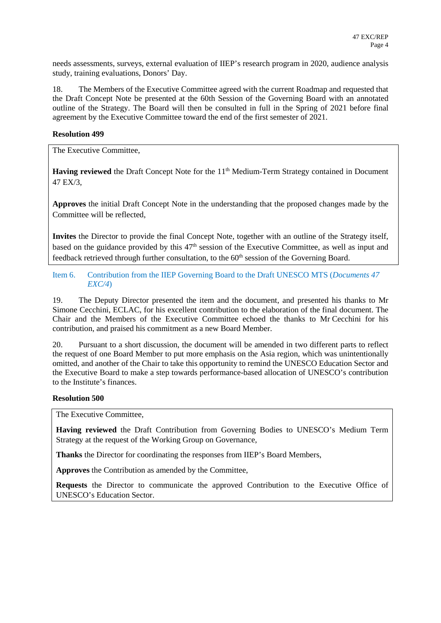needs assessments, surveys, external evaluation of IIEP's research program in 2020, audience analysis study, training evaluations, Donors' Day.

18. The Members of the Executive Committee agreed with the current Roadmap and requested that the Draft Concept Note be presented at the 60th Session of the Governing Board with an annotated outline of the Strategy. The Board will then be consulted in full in the Spring of 2021 before final agreement by the Executive Committee toward the end of the first semester of 2021.

#### **Resolution 499**

The Executive Committee,

**Having reviewed** the Draft Concept Note for the 11<sup>th</sup> Medium-Term Strategy contained in Document 47 EX/3,

**Approves** the initial Draft Concept Note in the understanding that the proposed changes made by the Committee will be reflected,

**Invites** the Director to provide the final Concept Note, together with an outline of the Strategy itself, based on the guidance provided by this 47<sup>th</sup> session of the Executive Committee, as well as input and feedback retrieved through further consultation, to the 60<sup>th</sup> session of the Governing Board.

Item 6. Contribution from the IIEP Governing Board to the Draft UNESCO MTS (*Documents 47 EXC/4*)

19. The Deputy Director presented the item and the document, and presented his thanks to Mr Simone Cecchini, ECLAC, for his excellent contribution to the elaboration of the final document. The Chair and the Members of the Executive Committee echoed the thanks to Mr Cecchini for his contribution, and praised his commitment as a new Board Member.

20. Pursuant to a short discussion, the document will be amended in two different parts to reflect the request of one Board Member to put more emphasis on the Asia region, which was unintentionally omitted, and another of the Chair to take this opportunity to remind the UNESCO Education Sector and the Executive Board to make a step towards performance-based allocation of UNESCO's contribution to the Institute's finances.

#### **Resolution 500**

The Executive Committee,

**Having reviewed** the Draft Contribution from Governing Bodies to UNESCO's Medium Term Strategy at the request of the Working Group on Governance,

**Thanks** the Director for coordinating the responses from IIEP's Board Members,

**Approves** the Contribution as amended by the Committee,

**Requests** the Director to communicate the approved Contribution to the Executive Office of UNESCO's Education Sector.